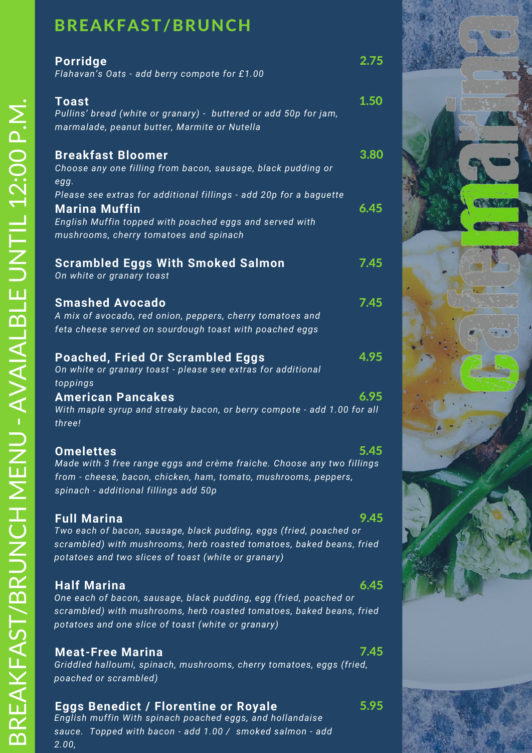# BREAKFAST/BRUNCH

| <b>Porridge</b><br>Flahavan's Oats - add berry compote for £1.00                                                                                                                                                        | 2.75 |
|-------------------------------------------------------------------------------------------------------------------------------------------------------------------------------------------------------------------------|------|
| <b>Toast</b><br>Pullins' bread (white or granary) - buttered or add 50p for jam,<br>marmalade, peanut butter, Marmite or Nutella                                                                                        | 1.50 |
| <b>Breakfast Bloomer</b><br>Choose any one filling from bacon, sausage, black pudding or<br>egg.                                                                                                                        | 3.80 |
| Please see extras for additional fillings - add 20p for a baguette<br><b>Marina Muffin</b><br>English Muffin topped with poached eggs and served with<br>mushrooms, cherry tomatoes and spinach                         | 6.45 |
| <b>Scrambled Eggs With Smoked Salmon</b><br>On white or granary toast                                                                                                                                                   | 7.45 |
| <b>Smashed Avocado</b><br>A mix of avocado, red onion, peppers, cherry tomatoes and<br>feta cheese served on sourdough toast with poached eggs                                                                          | 7.45 |
| <b>Poached, Fried Or Scrambled Eggs</b><br>On white or granary toast - please see extras for additional<br>toppings                                                                                                     | 4.95 |
| <b>American Pancakes</b><br>With maple syrup and streaky bacon, or berry compote - add 1.00 for all<br>three!                                                                                                           | 6.95 |
| <b>Omelettes</b><br>Made with 3 free range eggs and crème fraiche. Choose any two fillings<br>from - cheese, bacon, chicken, ham, tomato, mushrooms, peppers,<br>spinach - additional fillings add 50p                  | 5.45 |
| <b>Full Marina</b><br>Two each of bacon, sausage, black pudding, eggs (fried, poached or<br>scrambled) with mushrooms, herb roasted tomatoes, baked beans, fried<br>potatoes and two slices of toast (white or granary) | 9.45 |

### **Half Marina**

6.45

7.45

5.95

*One each of bacon, sausage, black pudding, egg (fried, poached or scrambled) with mushrooms, herb roasted tomatoes, baked beans, fried potatoes and one slice of toast (white or granary)*

### **Meat-Free Marina**

*Griddled halloumi, spinach, mushrooms, cherry tomatoes, eggs (fried, poached or scrambled)*

### **Eggs Benedict / Florentine or Royale**

*English muffin With spinach poached eggs, and hollandaise sauce. Topped with bacon - add 1.00 / smoked salmon - add 2.00,*